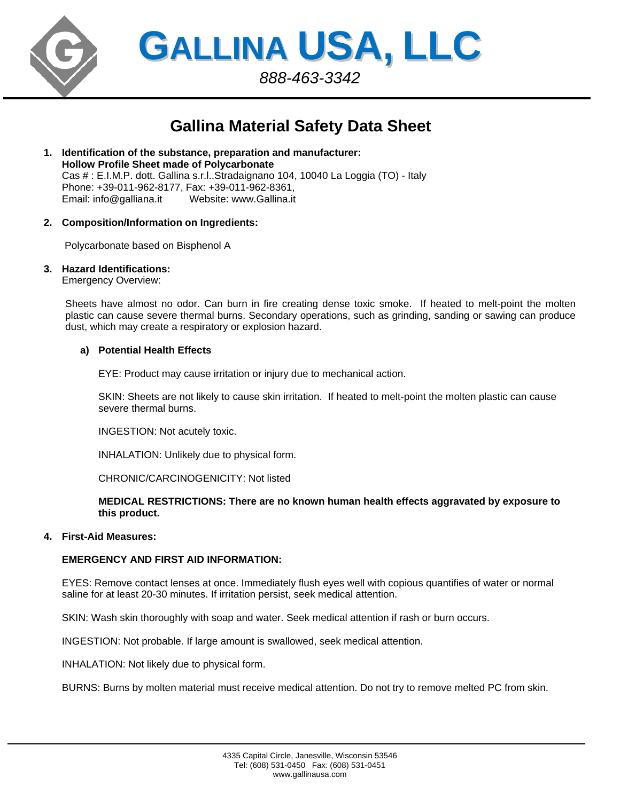

**GALLINA USA, LLC** *888-463-3342*

# **Gallina Material Safety Data Sheet**

- **1. Identification of the substance, preparation and manufacturer: Hollow Profile Sheet made of Polycarbonate**  Cas # : E.I.M.P. dott. Gallina s.r.l..Stradaignano 104, 10040 La Loggia (TO) - Italy Phone: +39-011-962-8177, Fax: +39-011-962-8361, Email: info@galliana.it Website: www.Gallina.it
- **2. Composition/Information on Ingredients:**

Polycarbonate based on Bisphenol A

## **3. Hazard Identifications:**

Emergency Overview:

Sheets have almost no odor. Can burn in fire creating dense toxic smoke. If heated to melt-point the molten plastic can cause severe thermal burns. Secondary operations, such as grinding, sanding or sawing can produce dust, which may create a respiratory or explosion hazard.

### **a) Potential Health Effects**

EYE: Product may cause irritation or injury due to mechanical action.

SKIN: Sheets are not likely to cause skin irritation. If heated to melt-point the molten plastic can cause severe thermal burns.

INGESTION: Not acutely toxic.

INHALATION: Unlikely due to physical form.

CHRONIC/CARCINOGENICITY: Not listed

**MEDICAL RESTRICTIONS: There are no known human health effects aggravated by exposure to this product.** 

### **4. First-Aid Measures:**

### **EMERGENCY AND FIRST AID INFORMATION:**

EYES: Remove contact lenses at once. Immediately flush eyes well with copious quantifies of water or normal saline for at least 20-30 minutes. If irritation persist, seek medical attention.

SKIN: Wash skin thoroughly with soap and water. Seek medical attention if rash or burn occurs.

INGESTION: Not probable. If large amount is swallowed, seek medical attention.

INHALATION: Not likely due to physical form.

BURNS: Burns by molten material must receive medical attention. Do not try to remove melted PC from skin.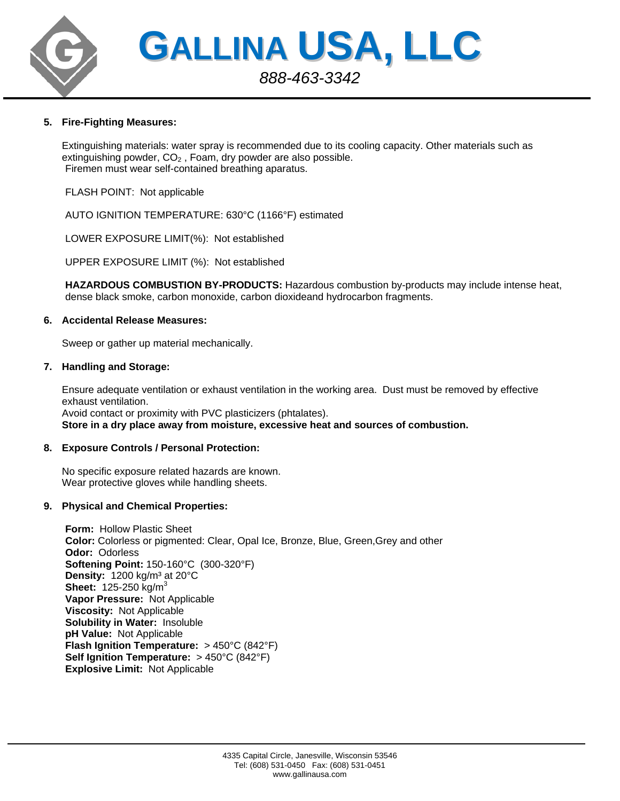

# **5. Fire-Fighting Measures:**

Extinguishing materials: water spray is recommended due to its cooling capacity. Other materials such as extinguishing powder,  $CO<sub>2</sub>$ , Foam, dry powder are also possible. Firemen must wear self-contained breathing aparatus.

FLASH POINT: Not applicable

AUTO IGNITION TEMPERATURE: 630°C (1166°F) estimated

LOWER EXPOSURE LIMIT(%): Not established

UPPER EXPOSURE LIMIT (%): Not established

**HAZARDOUS COMBUSTION BY-PRODUCTS:** Hazardous combustion by-products may include intense heat, dense black smoke, carbon monoxide, carbon dioxideand hydrocarbon fragments.

## **6. Accidental Release Measures:**

Sweep or gather up material mechanically.

## **7. Handling and Storage:**

Ensure adequate ventilation or exhaust ventilation in the working area. Dust must be removed by effective exhaust ventilation. Avoid contact or proximity with PVC plasticizers (phtalates). **Store in a dry place away from moisture, excessive heat and sources of combustion.** 

# **8. Exposure Controls / Personal Protection:**

No specific exposure related hazards are known. Wear protective gloves while handling sheets.

# **9. Physical and Chemical Properties:**

**Form:** Hollow Plastic Sheet **Color:** Colorless or pigmented: Clear, Opal Ice, Bronze, Blue, Green,Grey and other **Odor:** Odorless **Softening Point:** 150-160°C (300-320°F) **Density:** 1200 kg/m<sup>3</sup> at 20°C **Sheet:** 125-250 kg/m<sup>3</sup> **Vapor Pressure:** Not Applicable **Viscosity:** Not Applicable **Solubility in Water:** Insoluble **pH Value:** Not Applicable **Flash Ignition Temperature:** > 450°C (842°F) **Self Ignition Temperature:** > 450°C (842°F) **Explosive Limit:** Not Applicable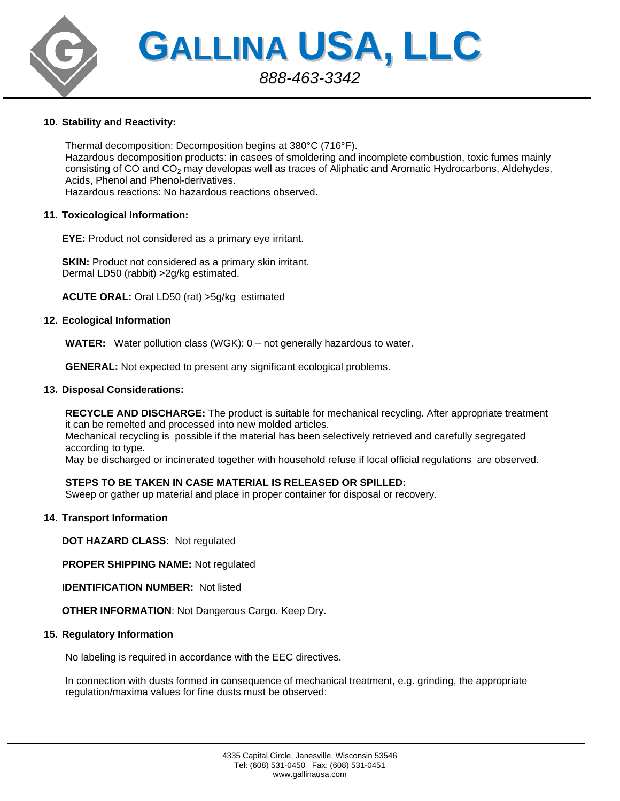

## **10. Stability and Reactivity:**

Thermal decomposition: Decomposition begins at 380°C (716°F). Hazardous decomposition products: in casees of smoldering and incomplete combustion, toxic fumes mainly consisting of CO and CO<sub>2</sub> may developas well as traces of Aliphatic and Aromatic Hydrocarbons, Aldehydes, Acids, Phenol and Phenol-derivatives. Hazardous reactions: No hazardous reactions observed.

### **11. Toxicological Information:**

**EYE:** Product not considered as a primary eye irritant.

**SKIN:** Product not considered as a primary skin irritant. Dermal LD50 (rabbit) >2g/kg estimated.

**ACUTE ORAL:** Oral LD50 (rat) >5g/kg estimated

## **12. Ecological Information**

**WATER:** Water pollution class (WGK): 0 – not generally hazardous to water.

**GENERAL:** Not expected to present any significant ecological problems.

## **13. Disposal Considerations:**

**RECYCLE AND DISCHARGE:** The product is suitable for mechanical recycling. After appropriate treatment it can be remelted and processed into new molded articles.

Mechanical recycling is possible if the material has been selectively retrieved and carefully segregated according to type.

May be discharged or incinerated together with household refuse if local official regulations are observed.

# **STEPS TO BE TAKEN IN CASE MATERIAL IS RELEASED OR SPILLED:**

Sweep or gather up material and place in proper container for disposal or recovery.

### **14. Transport Information**

**DOT HAZARD CLASS:** Not regulated

**PROPER SHIPPING NAME:** Not regulated

**IDENTIFICATION NUMBER: Not listed** 

**OTHER INFORMATION**: Not Dangerous Cargo. Keep Dry.

### **15. Regulatory Information**

No labeling is required in accordance with the EEC directives.

In connection with dusts formed in consequence of mechanical treatment, e.g. grinding, the appropriate regulation/maxima values for fine dusts must be observed: